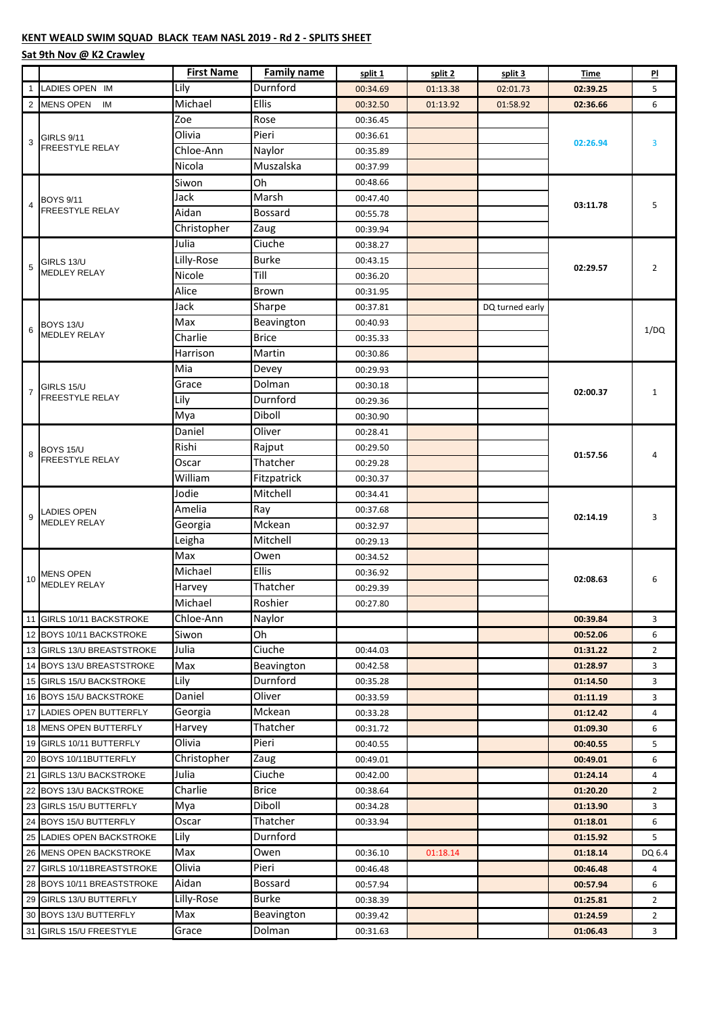## **KENT WEALD SWIM SQUAD BLACK TEAM NASL 2019 - Rd 2 - SPLITS SHEET**

## **Sat 9th Nov @ K2 Crawley**

|                |                                            | <b>First Name</b> | <b>Family name</b> | split 1  | split 2  | split 3         | Time     | PI             |
|----------------|--------------------------------------------|-------------------|--------------------|----------|----------|-----------------|----------|----------------|
| $\mathbf{1}$   | LADIES OPEN IM                             | Lily              | Durnford           | 00:34.69 | 01:13.38 | 02:01.73        | 02:39.25 | 5              |
|                | 2 MENS OPEN<br>IM                          | Michael           | Ellis              | 00:32.50 | 01:13.92 | 01:58.92        | 02:36.66 | 6              |
| 3              | GIRLS 9/11<br><b>FREESTYLE RELAY</b>       | Zoe               | Rose               | 00:36.45 |          |                 | 02:26.94 | 3              |
|                |                                            | Olivia            | Pieri              | 00:36.61 |          |                 |          |                |
|                |                                            | Chloe-Ann         | Naylor             | 00:35.89 |          |                 |          |                |
|                |                                            | Nicola            | Muszalska          | 00:37.99 |          |                 |          |                |
| 4              | <b>BOYS 9/11</b><br><b>FREESTYLE RELAY</b> | Siwon             | Oh                 | 00:48.66 |          |                 | 03:11.78 | 5              |
|                |                                            | Jack              | Marsh              | 00:47.40 |          |                 |          |                |
|                |                                            | Aidan             | <b>Bossard</b>     | 00:55.78 |          |                 |          |                |
|                |                                            | Christopher       | Zaug               | 00:39.94 |          |                 |          |                |
| 5              | GIRLS 13/U<br><b>MEDLEY RELAY</b>          | Julia             | Ciuche             | 00:38.27 |          |                 | 02:29.57 | $\overline{2}$ |
|                |                                            | Lilly-Rose        | <b>Burke</b>       | 00:43.15 |          |                 |          |                |
|                |                                            | Nicole            | Till               | 00:36.20 |          |                 |          |                |
|                |                                            | Alice             | <b>Brown</b>       | 00:31.95 |          |                 |          |                |
|                | BOYS 13/U<br><b>MEDLEY RELAY</b>           | Jack              | Sharpe             | 00:37.81 |          | DQ turned early |          | 1/DQ           |
| 6              |                                            | Max               | Beavington         | 00:40.93 |          |                 |          |                |
|                |                                            | Charlie           | <b>Brice</b>       | 00:35.33 |          |                 |          |                |
|                |                                            | Harrison          | Martin             | 00:30.86 |          |                 |          |                |
|                |                                            | Mia               | Devey              | 00:29.93 |          |                 |          | $\mathbf{1}$   |
| $\overline{7}$ | GIRLS 15/U                                 | Grace             | Dolman             | 00:30.18 |          |                 |          |                |
|                | FREESTYLE RELAY                            | Lily              | Durnford           | 00:29.36 |          |                 | 02:00.37 |                |
|                |                                            | Mya               | Diboll             | 00:30.90 |          |                 |          |                |
|                | BOYS 15/U<br>FREESTYLE RELAY               | Daniel            | Oliver             | 00:28.41 |          |                 | 01:57.56 | 4              |
|                |                                            | Rishi             | Rajput             | 00:29.50 |          |                 |          |                |
| 8              |                                            | Oscar             | Thatcher           | 00:29.28 |          |                 |          |                |
|                |                                            | William           | Fitzpatrick        | 00:30.37 |          |                 |          |                |
|                | <b>LADIES OPEN</b><br><b>MEDLEY RELAY</b>  | Jodie             | Mitchell           | 00:34.41 |          |                 | 02:14.19 | 3              |
|                |                                            | Amelia            | Ray                | 00:37.68 |          |                 |          |                |
| 9              |                                            | Georgia           | Mckean             | 00:32.97 |          |                 |          |                |
|                |                                            | Leigha            | Mitchell           | 00:29.13 |          |                 |          |                |
|                | <b>MENS OPEN</b><br><b>MEDLEY RELAY</b>    | Max               | Owen               | 00:34.52 |          |                 | 02:08.63 | 6              |
|                |                                            | Michael           | Ellis              | 00:36.92 |          |                 |          |                |
| 10             |                                            | Harvey            | Thatcher           | 00:29.39 |          |                 |          |                |
|                |                                            | Michael           | Roshier            | 00:27.80 |          |                 |          |                |
|                | 11 GIRLS 10/11 BACKSTROKE                  | Chloe-Ann         | Naylor             |          |          |                 | 00:39.84 | 3              |
|                | 12 BOYS 10/11 BACKSTROKE                   | Siwon             | Oh                 |          |          |                 | 00:52.06 | 6              |
|                | 13 GIRLS 13/U BREASTSTROKE                 | Julia             | Ciuche             | 00:44.03 |          |                 | 01:31.22 | 2              |
|                | 14 BOYS 13/U BREASTSTROKE                  | Max               | Beavington         | 00:42.58 |          |                 | 01:28.97 | 3              |
|                | 15 GIRLS 15/U BACKSTROKE                   | Lily              | Durnford           | 00:35.28 |          |                 | 01:14.50 | 3              |
|                | 16 BOYS 15/U BACKSTROKE                    | Daniel            | Oliver             | 00:33.59 |          |                 | 01:11.19 | 3              |
|                | 17 LADIES OPEN BUTTERFLY                   | Georgia           | Mckean             | 00:33.28 |          |                 | 01:12.42 | 4              |
|                | 18 MENS OPEN BUTTERFLY                     | Harvey            | Thatcher           | 00:31.72 |          |                 | 01:09.30 | 6              |
|                | 19 GIRLS 10/11 BUTTERFLY                   | Olivia            | Pieri              | 00:40.55 |          |                 | 00:40.55 | 5              |
|                | 20 BOYS 10/11BUTTERFLY                     | Christopher       | Zaug               | 00:49.01 |          |                 | 00:49.01 | 6              |
|                | 21 GIRLS 13/U BACKSTROKE                   | Julia             | Ciuche             | 00:42.00 |          |                 | 01:24.14 | 4              |
|                | 22 BOYS 13/U BACKSTROKE                    | Charlie           | <b>Brice</b>       | 00:38.64 |          |                 | 01:20.20 | 2              |
|                | 23 GIRLS 15/U BUTTERFLY                    | Mya               | Diboll             | 00:34.28 |          |                 | 01:13.90 | 3              |
|                | 24 BOYS 15/U BUTTERFLY                     | Oscar             | Thatcher           | 00:33.94 |          |                 | 01:18.01 | 6              |
|                | 25 LADIES OPEN BACKSTROKE                  | Lily              | Durnford           |          |          |                 | 01:15.92 | 5              |
|                | 26 MENS OPEN BACKSTROKE                    | Max               | Owen               | 00:36.10 | 01:18.14 |                 | 01:18.14 | DQ 6.4         |
|                | 27 GIRLS 10/11BREASTSTROKE                 | Olivia            | Pieri              | 00:46.48 |          |                 | 00:46.48 | 4              |
|                | 28 BOYS 10/11 BREASTSTROKE                 | Aidan             | <b>Bossard</b>     | 00:57.94 |          |                 | 00:57.94 | 6              |
|                | 29 GIRLS 13/U BUTTERFLY                    | Lilly-Rose        | <b>Burke</b>       | 00:38.39 |          |                 | 01:25.81 | 2              |
|                | 30 BOYS 13/U BUTTERFLY                     | Max               | Beavington         | 00:39.42 |          |                 | 01:24.59 | $\overline{2}$ |
|                | 31 GIRLS 15/U FREESTYLE                    | Grace             | Dolman             | 00:31.63 |          |                 | 01:06.43 | 3              |
|                |                                            |                   |                    |          |          |                 |          |                |